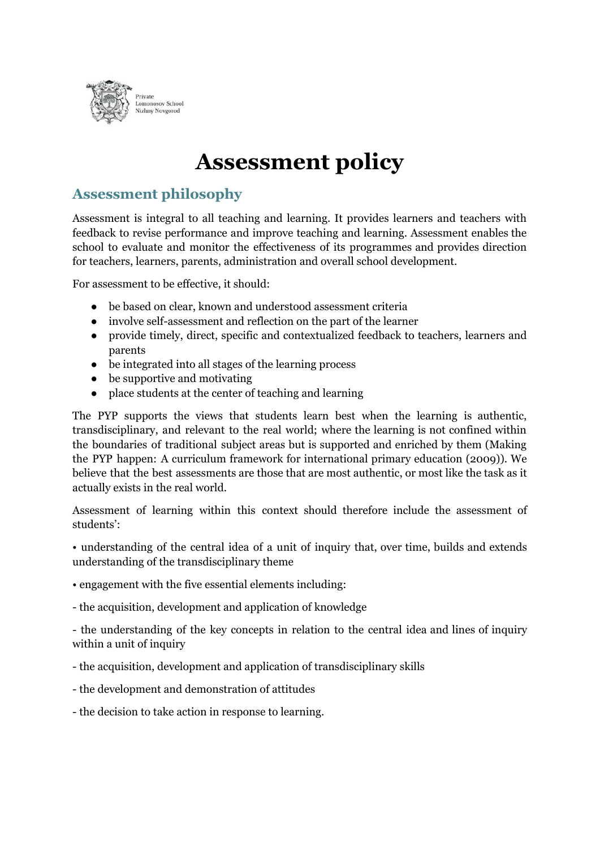

# **Assessment policy**

# **Assessment philosophy**

Assessment is integral to all teaching and learning. It provides learners and teachers with feedback to revise performance and improve teaching and learning. Assessment enables the school to evaluate and monitor the effectiveness of its programmes and provides direction for teachers, learners, parents, administration and overall school development.

For assessment to be effective, it should:

- be based on clear, known and understood assessment criteria
- involve self-assessment and reflection on the part of the learner
- provide timely, direct, specific and contextualized feedback to teachers, learners and parents
- be integrated into all stages of the learning process
- $\bullet$  be supportive and motivating
- place students at the center of teaching and learning

The PYP supports the views that students learn best when the learning is authentic, transdisciplinary, and relevant to the real world; where the learning is not confined within the boundaries of traditional subject areas but is supported and enriched by them (Making the PYP happen: A curriculum framework for international primary education (2009)). We believe that the best assessments are those that are most authentic, or most like the task as it actually exists in the real world.

Assessment of learning within this context should therefore include the assessment of students':

• understanding of the central idea of a unit of inquiry that, over time, builds and extends understanding of the transdisciplinary theme

• engagement with the five essential elements including:

- the acquisition, development and application of knowledge

- the understanding of the key concepts in relation to the central idea and lines of inquiry within a unit of inquiry

- the acquisition, development and application of transdisciplinary skills

- the development and demonstration of attitudes

- the decision to take action in response to learning.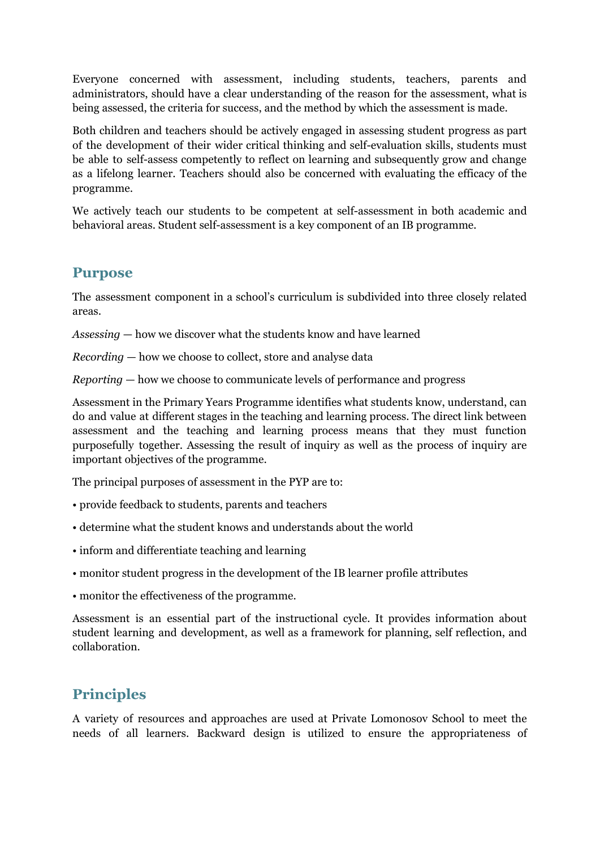Everyone concerned with assessment, including students, teachers, parents and administrators, should have a clear understanding of the reason for the assessment, what is being assessed, the criteria for success, and the method by which the assessment is made.

Both children and teachers should be actively engaged in assessing student progress as part of the development of their wider critical thinking and self-evaluation skills, students must be able to self-assess competently to reflect on learning and subsequently grow and change as a lifelong learner. Teachers should also be concerned with evaluating the efficacy of the programme.

We actively teach our students to be competent at self-assessment in both academic and behavioral areas. Student self-assessment is a key component of an IB programme.

#### **Purpose**

The assessment component in a school's curriculum is subdivided into three closely related areas.

*Assessing* — how we discover what the students know and have learned

*Recording* — how we choose to collect, store and analyse data

*Reporting* — how we choose to communicate levels of performance and progress

Assessment in the Primary Years Programme identifies what students know, understand, can do and value at different stages in the teaching and learning process. The direct link between assessment and the teaching and learning process means that they must function purposefully together. Assessing the result of inquiry as well as the process of inquiry are important objectives of the programme.

The principal purposes of assessment in the PYP are to:

- provide feedback to students, parents and teachers
- determine what the student knows and understands about the world
- inform and differentiate teaching and learning
- monitor student progress in the development of the IB learner profile attributes
- monitor the effectiveness of the programme.

Assessment is an essential part of the instructional cycle. It provides information about student learning and development, as well as a framework for planning, self reflection, and collaboration.

## **Principles**

A variety of resources and approaches are used at Private Lomonosov School to meet the needs of all learners. Backward design is utilized to ensure the appropriateness of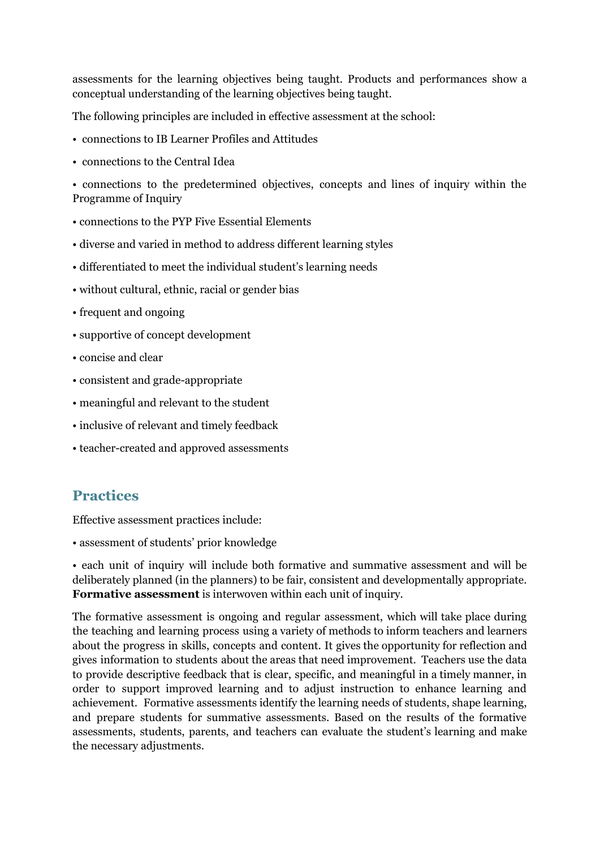assessments for the learning objectives being taught. Products and performances show a conceptual understanding of the learning objectives being taught.

The following principles are included in effective assessment at the school:

- connections to IB Learner Profiles and Attitudes
- connections to the Central Idea

• connections to the predetermined objectives, concepts and lines of inquiry within the Programme of Inquiry

- connections to the PYP Five Essential Elements
- diverse and varied in method to address different learning styles
- differentiated to meet the individual student's learning needs
- without cultural, ethnic, racial or gender bias
- frequent and ongoing
- supportive of concept development
- concise and clear
- consistent and grade-appropriate
- meaningful and relevant to the student
- inclusive of relevant and timely feedback
- teacher-created and approved assessments

## **Practices**

Effective assessment practices include:

• assessment of students' prior knowledge

• each unit of inquiry will include both formative and summative assessment and will be deliberately planned (in the planners) to be fair, consistent and developmentally appropriate. **Formative assessment**is interwoven within each unit of inquiry.

The formative assessment is ongoing and regular assessment, which will take place during the teaching and learning process using a variety of methods to inform teachers and learners about the progress in skills, concepts and content. It gives the opportunity for reflection and gives information to students about the areas that need improvement. Teachers use the data to provide descriptive feedback that is clear, specific, and meaningful in a timely manner, in order to support improved learning and to adjust instruction to enhance learning and achievement. Formative assessments identify the learning needs of students, shape learning, and prepare students for summative assessments. Based on the results of the formative assessments, students, parents, and teachers can evaluate the student's learning and make the necessary adjustments.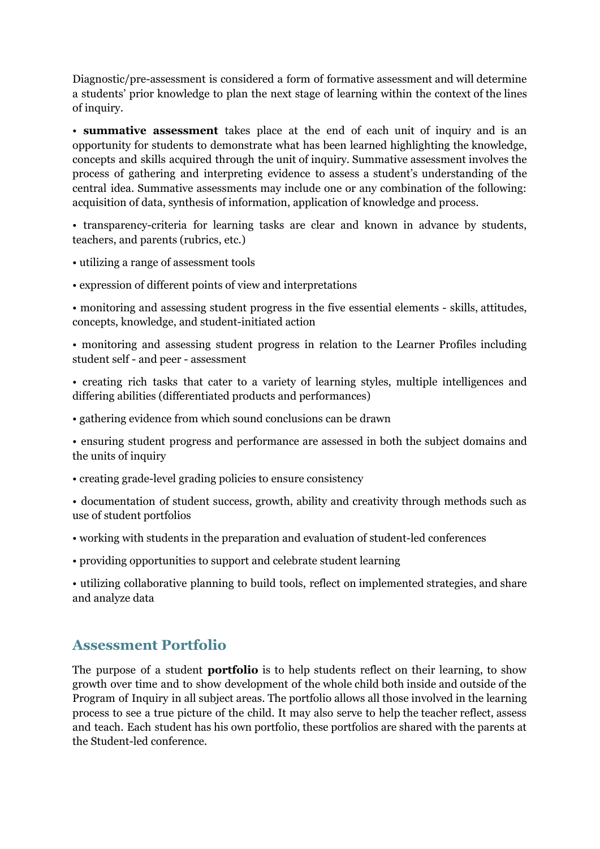Diagnostic/pre-assessment is considered a form of formative assessment and will determine a students' prior knowledge to plan the next stage of learning within the context of the lines of inquiry.

• **summative assessment** takes place at the end of each unit of inquiry and is an opportunity for students to demonstrate what has been learned highlighting the knowledge, concepts and skills acquired through the unit of inquiry. Summative assessment involves the process of gathering and interpreting evidence to assess a student's understanding of the central idea. Summative assessments may include one or any combination of the following: acquisition of data, synthesis of information, application of knowledge and process.

• transparency-criteria for learning tasks are clear and known in advance by students, teachers, and parents (rubrics, etc.)

- utilizing a range of assessment tools
- expression of different points of view and interpretations

• monitoring and assessing student progress in the five essential elements - skills, attitudes, concepts, knowledge, and student-initiated action

• monitoring and assessing student progress in relation to the Learner Profiles including student self - and peer - assessment

• creating rich tasks that cater to a variety of learning styles, multiple intelligences and differing abilities (differentiated products and performances)

• gathering evidence from which sound conclusions can be drawn

• ensuring student progress and performance are assessed in both the subject domains and the units of inquiry

• creating grade-level grading policies to ensure consistency

• documentation of student success, growth, ability and creativity through methods such as use of student portfolios

- working with students in the preparation and evaluation of student-led conferences
- providing opportunities to support and celebrate student learning

• utilizing collaborative planning to build tools, reflect on implemented strategies, and share and analyze data

#### **Assessment Portfolio**

The purpose of a student **portfolio** is to help students reflect on their learning, to show growth over time and to show development of the whole child both inside and outside of the Program of Inquiry in all subject areas. The portfolio allows all those involved in the learning process to see a true picture of the child. It may also serve to help the teacher reflect, assess and teach. Each student has his own portfolio, these portfolios are shared with the parents at the Student-led conference.